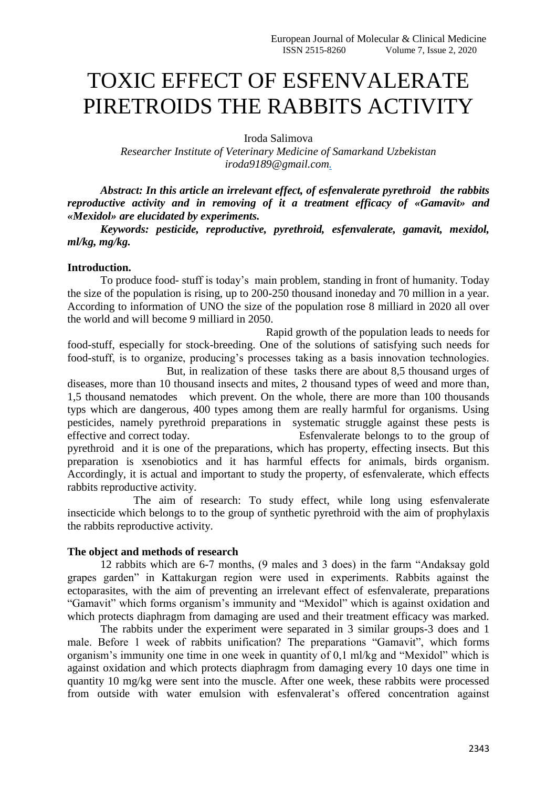# TOXIC EFFECT OF ESFENVALERATE PIRETROIDS THE RABBITS ACTIVITY

Iroda Salimova

*Researcher Institute of Veterinary Medicine of Samarkand Uzbekistan iroda9189@gmail.com.*

*Abstract: In this article an irrelevant effect, of esfenvalerate pyrethroid the rabbits reproductive activity and in removing of it a treatment efficacy of «Gamavit» and «Mexidol» are elucidated by experiments.*

*Keywords: pesticide, reproductive, pyrethroid, esfenvalerate, gamavit, mexidol, ml/kg, mg/kg.*

## **Introduction.**

To produce food- stuff is today's main problem, standing in front of humanity. Today the size of the population is rising, up to 200-250 thousand inoneday and 70 million in a year. According to information of UNO the size of the population rose 8 milliard in 2020 all over the world and will become 9 milliard in 2050.

Rapid growth of the population leads to needs for food-stuff, especially for stock-breeding. One of the solutions of satisfying such needs for food-stuff, is to organize, producing's processes taking as a basis innovation technologies. But, in realization of these tasks there are about 8,5 thousand urges of

diseases, more than 10 thousand insects and mites, 2 thousand types of weed and more than, 1,5 thousand nematodes which prevent. On the whole, there are more than 100 thousands typs which are dangerous, 400 types among them are really harmful for organisms. Using pesticides, namely pyrethroid preparations in systematic struggle against these pests is effective and correct today. Esfenvalerate belongs to to the group of pyrethroid and it is one of the preparations, which has property, effecting insects. But this preparation is xsenobiotics and it has harmful effects for animals, birds organism. Accordingly, it is actual and important to study the property, of esfenvalerate, which effects rabbits reproductive activity.

The aim of research: To study effect, while long using esfenvalerate insecticide which belongs to to the group of synthetic pyrethroid with the aim of prophylaxis the rabbits reproductive activity.

### **The object and methods of research**

12 rabbits which are 6-7 months, (9 males and 3 does) in the farm "Andaksay gold grapes garden" in Kattakurgan region were used in experiments. Rabbits against the ectoparasites, with the aim of preventing an irrelevant effect of esfenvalerate, preparations "Gamavit" which forms organism's immunity and "Mexidol" which is against oxidation and which protects diaphragm from damaging are used and their treatment efficacy was marked.

The rabbits under the experiment were separated in 3 similar groups-3 does and 1 male. Before 1 week of rabbits unification? The preparations "Gamavit", which forms organism's immunity one time in one week in quantity of 0,1 ml/kg and "Mexidol" which is against oxidation and which protects diaphragm from damaging every 10 days one time in quantity 10 mg/kg were sent into the muscle. After one week, these rabbits were processed from outside with water emulsion with esfenvalerat's offered concentration against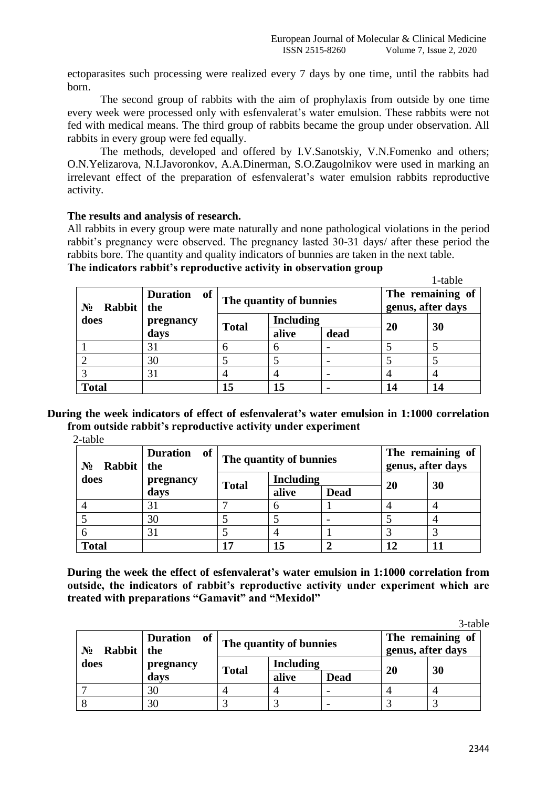ectoparasites such processing were realized every 7 days by one time, until the rabbits had born.

The second group of rabbits with the aim of prophylaxis from outside by one time every week were processed only with esfenvalerat's water emulsion. These rabbits were not fed with medical means. The third group of rabbits became the group under observation. All rabbits in every group were fed equally.

The methods, developed and offered by I.V.Sanotskiy, V.N.Fomenko and others; O.N.Yelizarova, N.I.Javoronkov, A.A.Dinerman, S.O.Zaugolnikov were used in marking an irrelevant effect of the preparation of esfenvalerat's water emulsion rabbits reproductive activity.

## **The results and analysis of research.**

All rabbits in every group were mate naturally and none pathological violations in the period rabbit's pregnancy were observed. The pregnancy lasted 30-31 days/ after these period the rabbits bore. The quantity and quality indicators of bunnies are taken in the next table.

|  | The indicators rabbit's reproductive activity in observation group |  |  |
|--|--------------------------------------------------------------------|--|--|
|  |                                                                    |  |  |

|                 |                                                   |                         |       |      |    | 1-table                               |  |
|-----------------|---------------------------------------------------|-------------------------|-------|------|----|---------------------------------------|--|
| Rabbit<br>$N_2$ | of<br><b>Duration</b><br>the<br>pregnancy<br>days | The quantity of bunnies |       |      |    | The remaining of<br>genus, after days |  |
| does            |                                                   | <b>Including</b>        |       |      |    |                                       |  |
|                 |                                                   | <b>Total</b>            | alive | dead | 20 | 30                                    |  |
|                 | 31                                                | 6                       |       |      |    |                                       |  |
|                 | 30                                                |                         |       |      |    |                                       |  |
|                 | 31                                                |                         |       |      |    |                                       |  |
| <b>Total</b>    |                                                   | 15                      | 15    |      | 14 | 14                                    |  |

**During the week indicators of effect of esfenvalerat's water emulsion in 1:1000 correlation from outside rabbit's reproductive activity under experiment**

2-table

| Rabbit<br>$N_2$ | of<br><b>Duration</b><br>the | The quantity of bunnies |                  |             | The remaining of<br>genus, after days |    |
|-----------------|------------------------------|-------------------------|------------------|-------------|---------------------------------------|----|
| does            | pregnancy                    | <b>Total</b>            | <b>Including</b> |             |                                       |    |
|                 | days                         |                         | alive            | <b>Dead</b> | <b>20</b>                             | 30 |
|                 | 31                           |                         |                  |             |                                       |    |
|                 | 30                           |                         |                  |             |                                       |    |
|                 | 31                           |                         | $\overline{4}$   |             |                                       |    |
| <b>Total</b>    |                              | 17                      | 15               |             | 12                                    |    |

**During the week the effect of esfenvalerat's water emulsion in 1:1000 correlation from outside, the indicators of rabbit's reproductive activity under experiment which are treated with preparations "Gamavit" and "Mexidol"**

3-table

 $1-t$ 

| Rabbit<br>$N_2$ | <b>Duration</b><br>of<br>the | The quantity of bunnies |                  |             | The remaining of<br>genus, after days |    |
|-----------------|------------------------------|-------------------------|------------------|-------------|---------------------------------------|----|
| does            | pregnancy                    | <b>Total</b>            | <b>Including</b> |             | 20                                    | 30 |
|                 | days                         |                         | alive            | <b>Dead</b> |                                       |    |
|                 | 30                           |                         |                  |             |                                       |    |
|                 | 30                           |                         |                  |             |                                       |    |